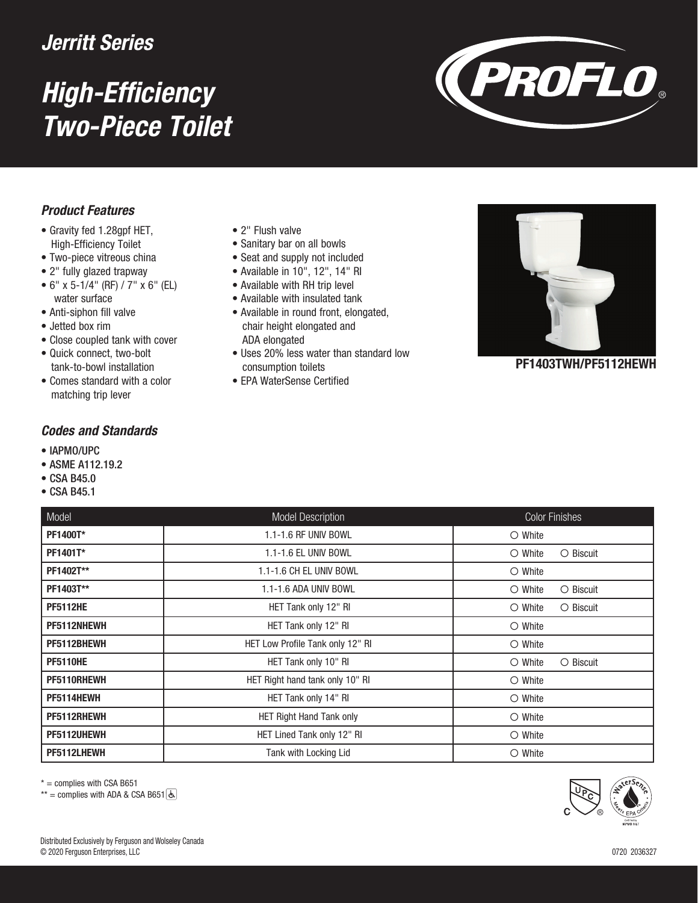## *Jerritt Series*

# *High-Efficiency Two-Piece Toilet*



### *Product Features*

- Gravity fed 1.28gpf HET, High-Efficiency Toilet
- Two-piece vitreous china
- 2" fully glazed trapway
- 6" x 5-1/4" (RF) / 7" x 6" (EL) water surface
- Anti-siphon fill valve
- Jetted box rim
- Close coupled tank with cover
- Quick connect, two-bolt tank-to-bowl installation
- Comes standard with a color matching trip lever

### *Codes and Standards*

- IAPMO/UPC
- ASME A112.19.2
- CSA B45.0
- CSA B45.1
- 2" Flush valve
- Sanitary bar on all bowls
- Seat and supply not included
- Available in 10", 12", 14" RI
- Available with RH trip level
- Available with insulated tank
- Available in round front, elongated, chair height elongated and ADA elongated
- Uses 20% less water than standard low consumption toilets
- EPA WaterSense Certified



#### PF1403TWH/PF5112HEWH

| ● CSA B45.1     |                                  |                                  |
|-----------------|----------------------------------|----------------------------------|
| Model           | <b>Model Description</b>         | <b>Color Finishes</b>            |
| PF1400T*        | 1.1-1.6 RF UNIV BOWL             | $\circ$ White                    |
| PF1401T*        | 1.1-1.6 EL UNIV BOWL             | $\circ$ White<br>$\circ$ Biscuit |
| PF1402T**       | 1.1-1.6 CH EL UNIV BOWL          | $\circ$ White                    |
| PF1403T**       | 1.1-1.6 ADA UNIV BOWL            | $\circ$ White<br>$\circ$ Biscuit |
| <b>PF5112HE</b> | HET Tank only 12" RI             | $\circ$ White<br>$\circ$ Biscuit |
| PF5112NHEWH     | HET Tank only 12" RI             | $\circ$ White                    |
| PF5112BHEWH     | HET Low Profile Tank only 12" RI | $\circ$ White                    |
| <b>PF5110HE</b> | HET Tank only 10" RI             | $\circ$ White<br>$\circ$ Biscuit |
| PF5110RHEWH     | HET Right hand tank only 10" RI  | $\bigcirc$ White                 |
| PF5114HEWH      | HET Tank only 14" RI             | $\circ$ White                    |
| PF5112RHEWH     | HET Right Hand Tank only         | $\circ$ White                    |
| PF5112UHEWH     | HET Lined Tank only 12" RI       | $\circ$ White                    |
| PF5112LHEWH     | Tank with Locking Lid            | $\circ$ White                    |

 $* =$  complies with CSA B651

 $**$  = complies with ADA & CSA B651 &